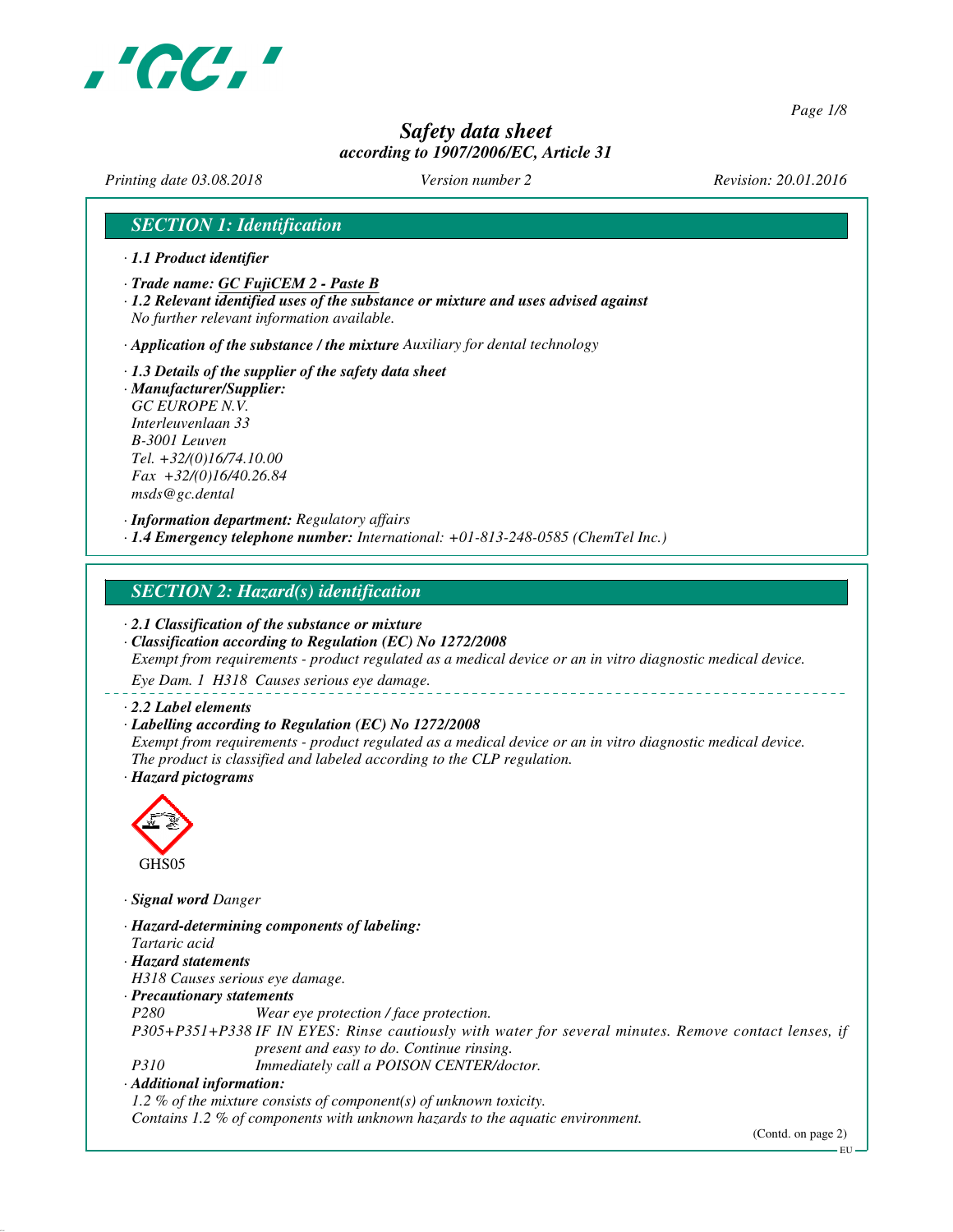

*Page 1/8*

# *Safety data sheet according to 1907/2006/EC, Article 31*

*Printing date 03.08.2018 Version number 2 Revision: 20.01.2016*

## *SECTION 1: Identification*

- *· 1.1 Product identifier*
- *· Trade name: GC FujiCEM 2 Paste B*
- *· 1.2 Relevant identified uses of the substance or mixture and uses advised against No further relevant information available.*

*· Application of the substance / the mixture Auxiliary for dental technology*

*· 1.3 Details of the supplier of the safety data sheet · Manufacturer/Supplier: GC EUROPE N.V. Interleuvenlaan 33 B-3001 Leuven Tel. +32/(0)16/74.10.00 Fax +32/(0)16/40.26.84 msds@gc.dental*

*· Information department: Regulatory affairs · 1.4 Emergency telephone number: International: +01-813-248-0585 (ChemTel Inc.)*

#### *SECTION 2: Hazard(s) identification*

*· 2.1 Classification of the substance or mixture*

*· Classification according to Regulation (EC) No 1272/2008 Exempt from requirements - product regulated as a medical device or an in vitro diagnostic medical device.*

*Eye Dam. 1 H318 Causes serious eye damage.*

#### *· 2.2 Label elements*

#### *· Labelling according to Regulation (EC) No 1272/2008*

*Exempt from requirements - product regulated as a medical device or an in vitro diagnostic medical device. The product is classified and labeled according to the CLP regulation. · Hazard pictograms*



*· Signal word Danger*

- *· Hazard-determining components of labeling: Tartaric acid · Hazard statements*
- *H318 Causes serious eye damage.*
- *· Precautionary statements*
- *P280 Wear eye protection / face protection.*

*P305+P351+P338 IF IN EYES: Rinse cautiously with water for several minutes. Remove contact lenses, if present and easy to do. Continue rinsing.*

*P310 Immediately call a POISON CENTER/doctor.*

*· Additional information:*

*1.2 % of the mixture consists of component(s) of unknown toxicity.*

*Contains 1.2 % of components with unknown hazards to the aquatic environment.*

(Contd. on page 2)

EU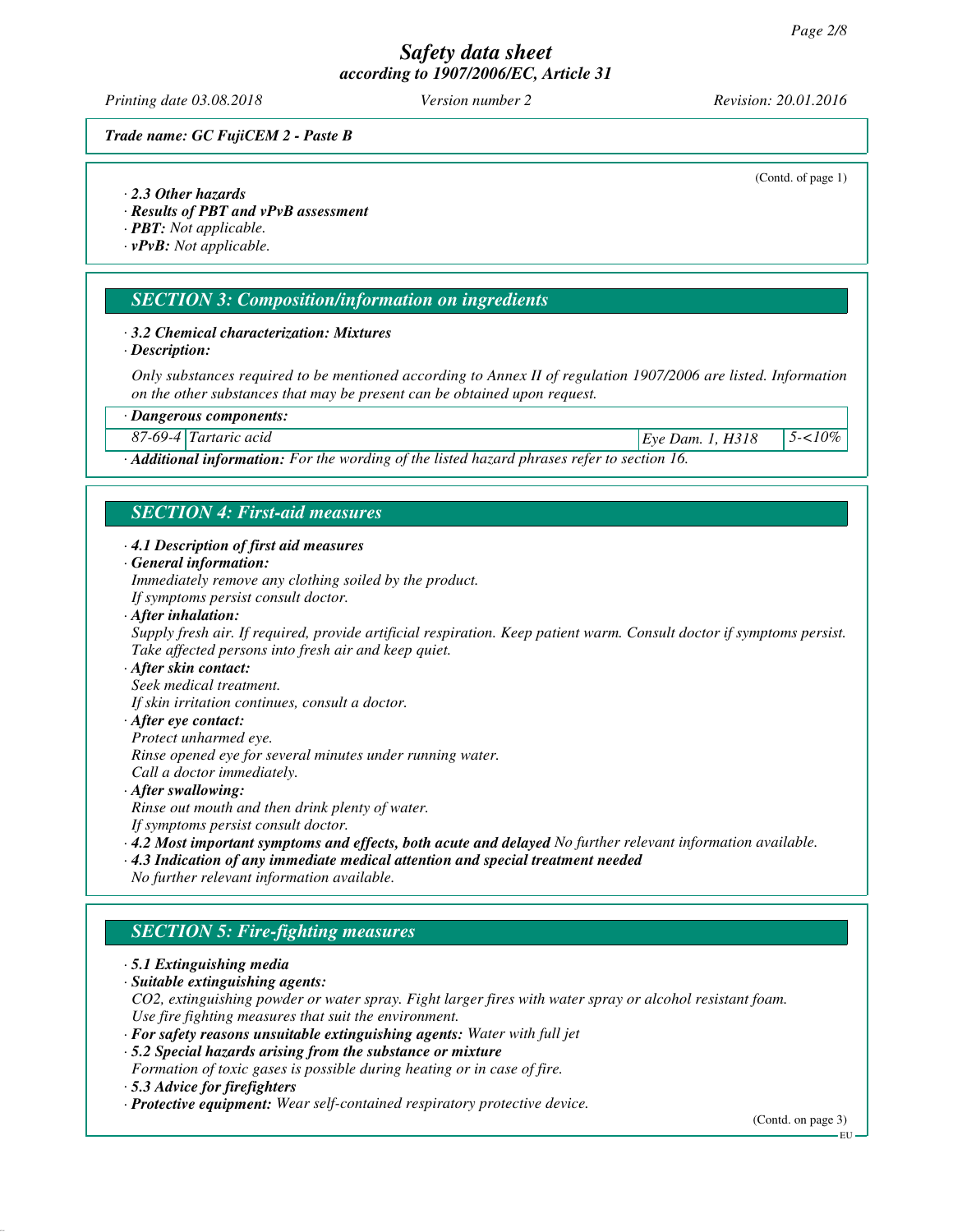*Printing date 03.08.2018 Version number 2 Revision: 20.01.2016*

(Contd. of page 1)

#### *Trade name: GC FujiCEM 2 - Paste B*

*· 2.3 Other hazards*

*· Results of PBT and vPvB assessment*

*· PBT: Not applicable.*

*· vPvB: Not applicable.*

## *SECTION 3: Composition/information on ingredients*

#### *· 3.2 Chemical characterization: Mixtures*

*· Description:*

*Only substances required to be mentioned according to Annex II of regulation 1907/2006 are listed. Information on the other substances that may be present can be obtained upon request.*

*· Dangerous components:*

*87-69-4 Tartaric acid Eye Dam. 1, H318 5-<10%*

*· Additional information: For the wording of the listed hazard phrases refer to section 16.*

# *SECTION 4: First-aid measures*

*· 4.1 Description of first aid measures*

*· General information:*

*Immediately remove any clothing soiled by the product.*

- *If symptoms persist consult doctor.*
- *· After inhalation:*

*Supply fresh air. If required, provide artificial respiration. Keep patient warm. Consult doctor if symptoms persist. Take affected persons into fresh air and keep quiet.*

- *· After skin contact:*
- *Seek medical treatment.*

*If skin irritation continues, consult a doctor.*

*· After eye contact:*

*Protect unharmed eye.*

*Rinse opened eye for several minutes under running water.*

*Call a doctor immediately.*

*· After swallowing:*

*Rinse out mouth and then drink plenty of water.*

*If symptoms persist consult doctor.*

*· 4.2 Most important symptoms and effects, both acute and delayed No further relevant information available.*

*· 4.3 Indication of any immediate medical attention and special treatment needed*

*No further relevant information available.*

## *SECTION 5: Fire-fighting measures*

#### *· 5.1 Extinguishing media*

- *· Suitable extinguishing agents: CO2, extinguishing powder or water spray. Fight larger fires with water spray or alcohol resistant foam. Use fire fighting measures that suit the environment.*
- *· For safety reasons unsuitable extinguishing agents: Water with full jet*

*· 5.2 Special hazards arising from the substance or mixture*

- *Formation of toxic gases is possible during heating or in case of fire.*
- *· 5.3 Advice for firefighters*

*· Protective equipment: Wear self-contained respiratory protective device.*

(Contd. on page 3)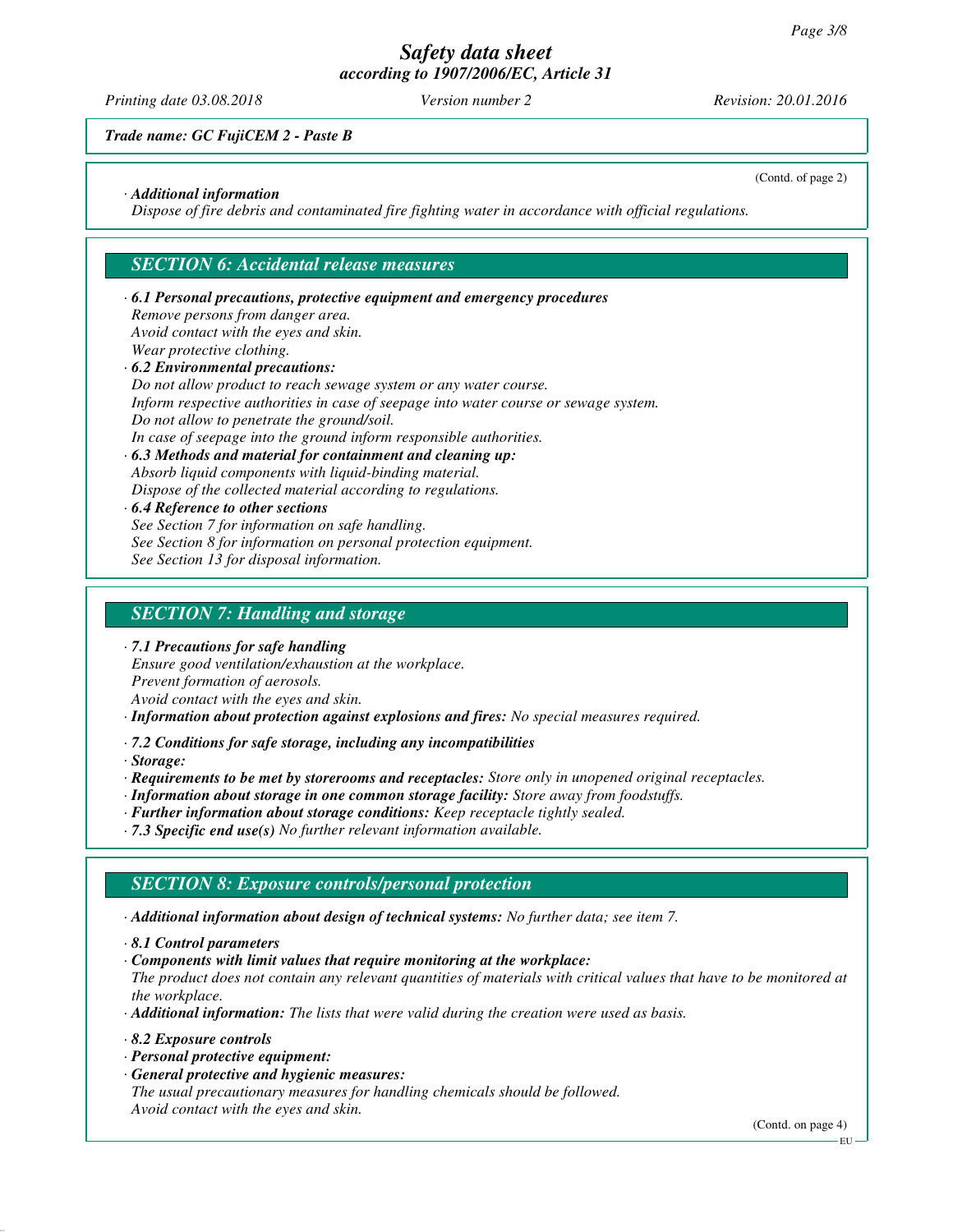*Printing date 03.08.2018 Version number 2 Revision: 20.01.2016*

(Contd. of page 2)

## *Trade name: GC FujiCEM 2 - Paste B*

#### *· Additional information*

*Dispose of fire debris and contaminated fire fighting water in accordance with official regulations.*

#### *SECTION 6: Accidental release measures*

#### *· 6.1 Personal precautions, protective equipment and emergency procedures Remove persons from danger area. Avoid contact with the eyes and skin. Wear protective clothing. · 6.2 Environmental precautions: Do not allow product to reach sewage system or any water course.*

*Inform respective authorities in case of seepage into water course or sewage system. Do not allow to penetrate the ground/soil. In case of seepage into the ground inform responsible authorities. · 6.3 Methods and material for containment and cleaning up:*

*Absorb liquid components with liquid-binding material. Dispose of the collected material according to regulations.*

#### *· 6.4 Reference to other sections*

*See Section 7 for information on safe handling.*

*See Section 8 for information on personal protection equipment.*

*See Section 13 for disposal information.*

## *SECTION 7: Handling and storage*

*· 7.1 Precautions for safe handling*

*Ensure good ventilation/exhaustion at the workplace.*

*Prevent formation of aerosols.*

*Avoid contact with the eyes and skin.*

*· Information about protection against explosions and fires: No special measures required.*

*· 7.2 Conditions for safe storage, including any incompatibilities*

*· Storage:*

*· Requirements to be met by storerooms and receptacles: Store only in unopened original receptacles.*

- *· Information about storage in one common storage facility: Store away from foodstuffs.*
- *· Further information about storage conditions: Keep receptacle tightly sealed.*
- *· 7.3 Specific end use(s) No further relevant information available.*

#### *SECTION 8: Exposure controls/personal protection*

*· Additional information about design of technical systems: No further data; see item 7.*

*· Components with limit values that require monitoring at the workplace:*

*The product does not contain any relevant quantities of materials with critical values that have to be monitored at the workplace.*

*· Additional information: The lists that were valid during the creation were used as basis.*

- *· 8.2 Exposure controls*
- *· Personal protective equipment:*
- *· General protective and hygienic measures:*

*The usual precautionary measures for handling chemicals should be followed. Avoid contact with the eyes and skin.*

(Contd. on page 4)

*<sup>·</sup> 8.1 Control parameters*

EU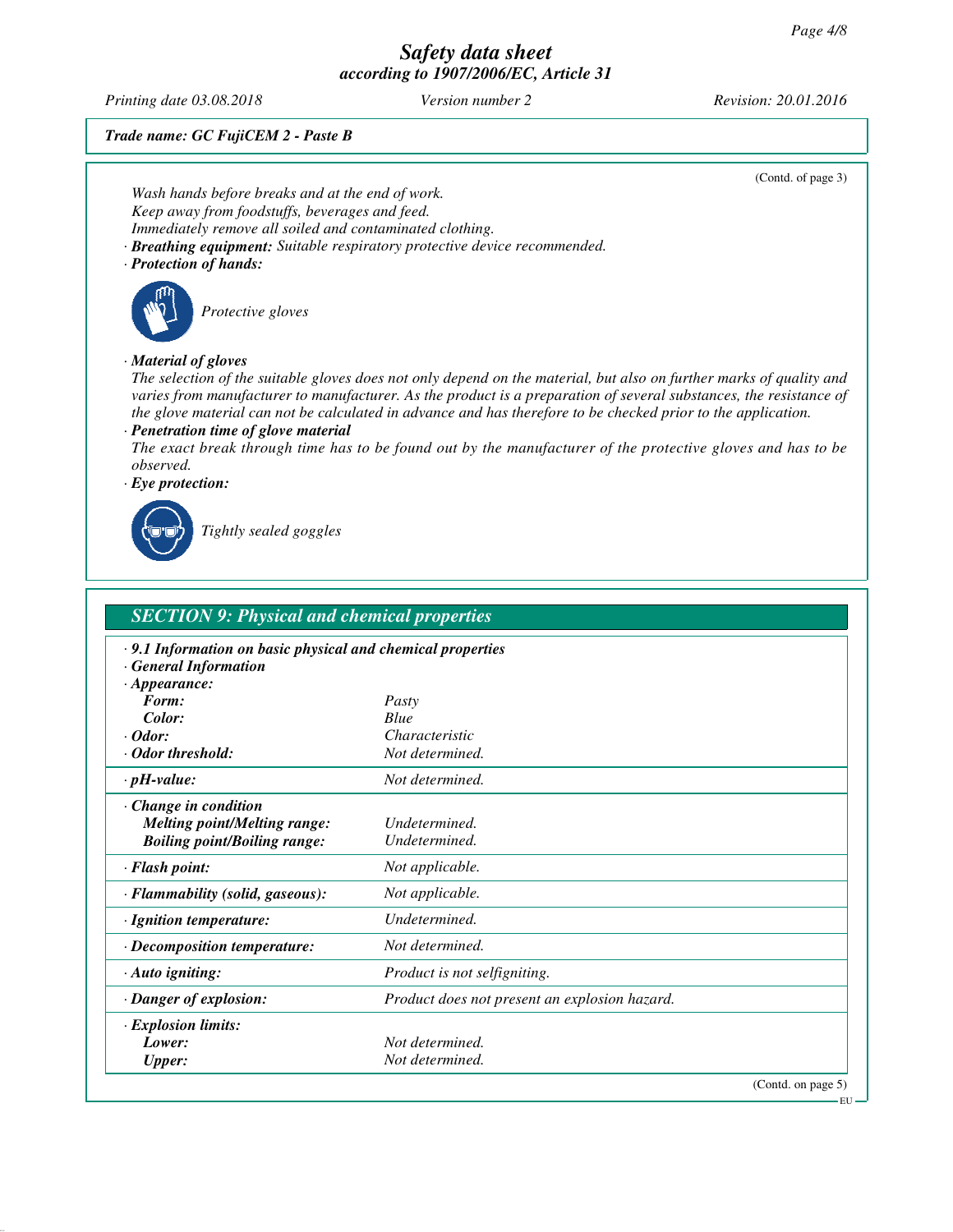*Printing date 03.08.2018 Version number 2 Revision: 20.01.2016*

*Trade name: GC FujiCEM 2 - Paste B*

(Contd. of page 3) *Wash hands before breaks and at the end of work. Keep away from foodstuffs, beverages and feed. Immediately remove all soiled and contaminated clothing. · Breathing equipment: Suitable respiratory protective device recommended. · Protection of hands: Protective gloves · Material of gloves The selection of the suitable gloves does not only depend on the material, but also on further marks of quality and varies from manufacturer to manufacturer. As the product is a preparation of several substances, the resistance of the glove material can not be calculated in advance and has therefore to be checked prior to the application. · Penetration time of glove material The exact break through time has to be found out by the manufacturer of the protective gloves and has to be observed. · Eye protection: Tightly sealed goggles SECTION 9: Physical and chemical properties · 9.1 Information on basic physical and chemical properties · General Information · Appearance: Form: Pasty Color: Blue Characteristic*<br>*Not determined. · Odor threshold: Not determined. · pH-value: Not determined. · Change in condition Melting point/Melting range: Undetermined. Boiling point/Boiling range: Undetermined. · Flash point: Not applicable.*

| $\cdot$ Flammability (solid, gaseous): | Not applicable.                               |
|----------------------------------------|-----------------------------------------------|
| $\cdot$ Ignition temperature:          | Undetermined.                                 |
| $\cdot$ Decomposition temperature:     | Not determined.                               |
| $\cdot$ Auto igniting:                 | Product is not selfigniting.                  |
| · Danger of explosion:                 | Product does not present an explosion hazard. |
| <b>Explosion limits:</b>               |                                               |
| Lower:                                 | Not determined.                               |
| <b>Upper:</b>                          | Not determined.                               |
|                                        | (Contd. on page 5)                            |

EU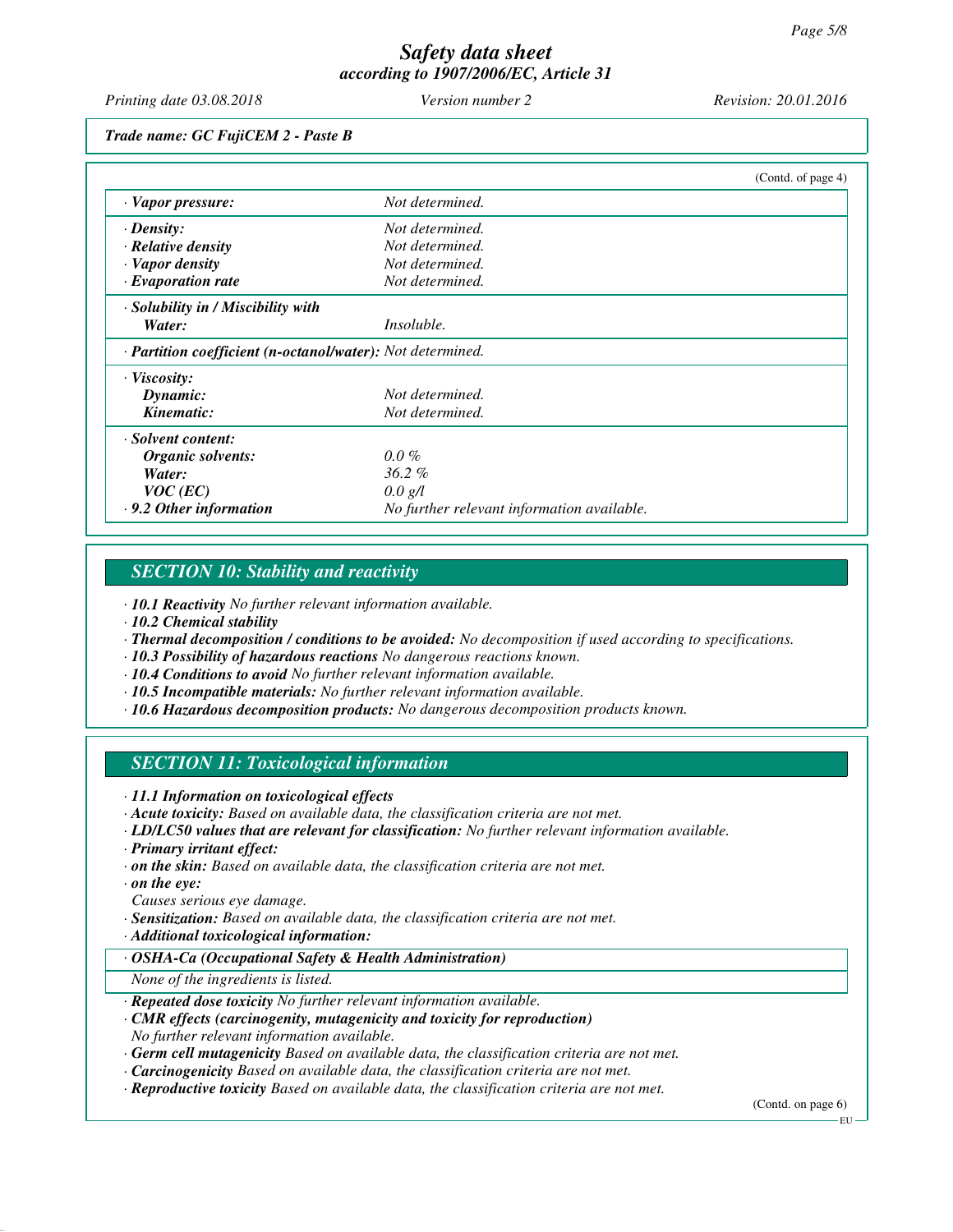*Printing date 03.08.2018 Version number 2 Revision: 20.01.2016*

*Trade name: GC FujiCEM 2 - Paste B*

|                                                            |                                            | (Contd. of page 4) |
|------------------------------------------------------------|--------------------------------------------|--------------------|
| · Vapor pressure:                                          | Not determined.                            |                    |
| $\cdot$ Density:                                           | Not determined.                            |                    |
| $\cdot$ Relative density                                   | Not determined.                            |                    |
| · Vapor density                                            | Not determined.                            |                    |
| $\cdot$ Evaporation rate                                   | Not determined.                            |                    |
| $\cdot$ Solubility in / Miscibility with                   |                                            |                    |
| Water:                                                     | <i>Insoluble.</i>                          |                    |
| · Partition coefficient (n-octanol/water): Not determined. |                                            |                    |
| $\cdot$ Viscosity:                                         |                                            |                    |
| Dynamic:                                                   | Not determined.                            |                    |
| Kinematic:                                                 | Not determined.                            |                    |
| · Solvent content:                                         |                                            |                    |
| Organic solvents:                                          | $0.0\%$                                    |                    |
| Water:                                                     | $36.2\%$                                   |                    |
| $VOC$ (EC)                                                 | 0.0 g/l                                    |                    |
| $\cdot$ 9.2 Other information                              | No further relevant information available. |                    |

#### *SECTION 10: Stability and reactivity*

*· 10.1 Reactivity No further relevant information available.*

*· 10.2 Chemical stability*

*· Thermal decomposition / conditions to be avoided: No decomposition if used according to specifications.*

- *· 10.3 Possibility of hazardous reactions No dangerous reactions known.*
- *· 10.4 Conditions to avoid No further relevant information available.*
- *· 10.5 Incompatible materials: No further relevant information available.*
- *· 10.6 Hazardous decomposition products: No dangerous decomposition products known.*

## *SECTION 11: Toxicological information*

*· 11.1 Information on toxicological effects*

- *· Acute toxicity: Based on available data, the classification criteria are not met.*
- *· LD/LC50 values that are relevant for classification: No further relevant information available.*
- *· Primary irritant effect:*
- *· on the skin: Based on available data, the classification criteria are not met.*

*· on the eye:*

- *Causes serious eye damage.*
- *· Sensitization: Based on available data, the classification criteria are not met.*
- *· Additional toxicological information:*
- *· OSHA-Ca (Occupational Safety & Health Administration)*

*None of the ingredients is listed.*

- *· Repeated dose toxicity No further relevant information available.*
- *· CMR effects (carcinogenity, mutagenicity and toxicity for reproduction) No further relevant information available.*
- *· Germ cell mutagenicity Based on available data, the classification criteria are not met.*
- *· Carcinogenicity Based on available data, the classification criteria are not met.*
- *· Reproductive toxicity Based on available data, the classification criteria are not met.*

(Contd. on page 6)

EU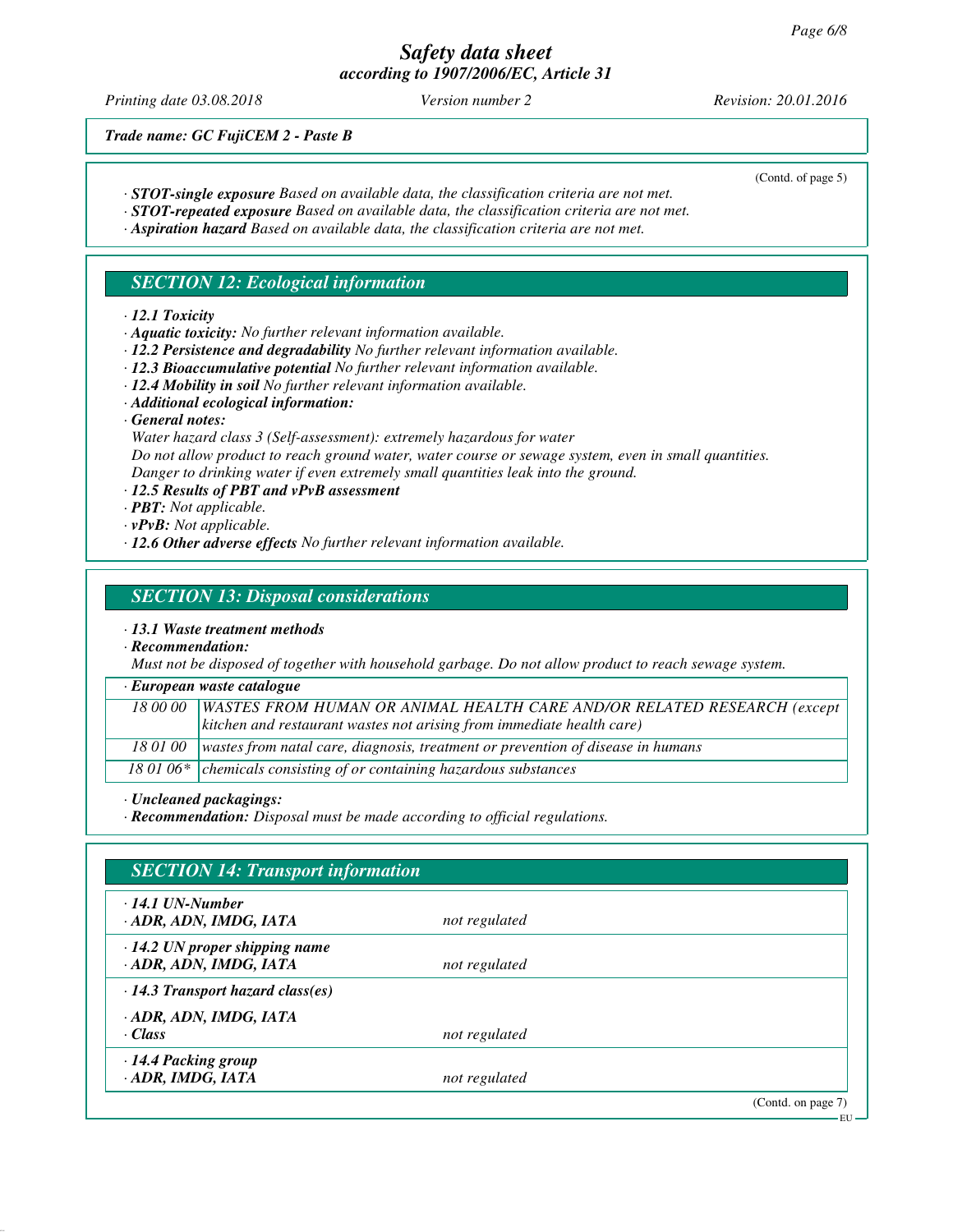*Printing date 03.08.2018 Version number 2 Revision: 20.01.2016*

(Contd. of page 5)

*Trade name: GC FujiCEM 2 - Paste B*

- *· STOT-single exposure Based on available data, the classification criteria are not met.*
- *· STOT-repeated exposure Based on available data, the classification criteria are not met.*
- *· Aspiration hazard Based on available data, the classification criteria are not met.*

## *SECTION 12: Ecological information*

- *· 12.1 Toxicity*
- *· Aquatic toxicity: No further relevant information available.*
- *· 12.2 Persistence and degradability No further relevant information available.*
- *· 12.3 Bioaccumulative potential No further relevant information available.*
- *· 12.4 Mobility in soil No further relevant information available.*
- *· Additional ecological information:*
- *· General notes:*
- *Water hazard class 3 (Self-assessment): extremely hazardous for water*
- *Do not allow product to reach ground water, water course or sewage system, even in small quantities.*
- *Danger to drinking water if even extremely small quantities leak into the ground. · 12.5 Results of PBT and vPvB assessment*
- *· PBT: Not applicable.*
- *· vPvB: Not applicable.*
- *· 12.6 Other adverse effects No further relevant information available.*

## *SECTION 13: Disposal considerations*

- *· 13.1 Waste treatment methods*
- *· Recommendation:*

*Must not be disposed of together with household garbage. Do not allow product to reach sewage system.*

*· European waste catalogue*

| 18 00 00   WASTES FROM HUMAN OR ANIMAL HEALTH CARE AND/OR RELATED RESEARCH (except         |
|--------------------------------------------------------------------------------------------|
| $\vert$ kitchen and restaurant wastes not arising from immediate health care)              |
|                                                                                            |
| 18 01 00   wastes from natal care, diagnosis, treatment or prevention of disease in humans |

18 01 06\* chemicals consisting of or containing hazardous substances

*· Uncleaned packagings:*

*· Recommendation: Disposal must be made according to official regulations.*

| $\cdot$ 14.1 UN-Number                  |               |  |
|-----------------------------------------|---------------|--|
| · ADR, ADN, IMDG, IATA                  | not regulated |  |
| $\cdot$ 14.2 UN proper shipping name    |               |  |
| · ADR, ADN, IMDG, IATA                  | not regulated |  |
| $\cdot$ 14.3 Transport hazard class(es) |               |  |
| · ADR, ADN, IMDG, IATA                  |               |  |
| $\cdot$ Class                           | not regulated |  |
| $\cdot$ 14.4 Packing group              |               |  |
| · ADR, IMDG, IATA                       | not regulated |  |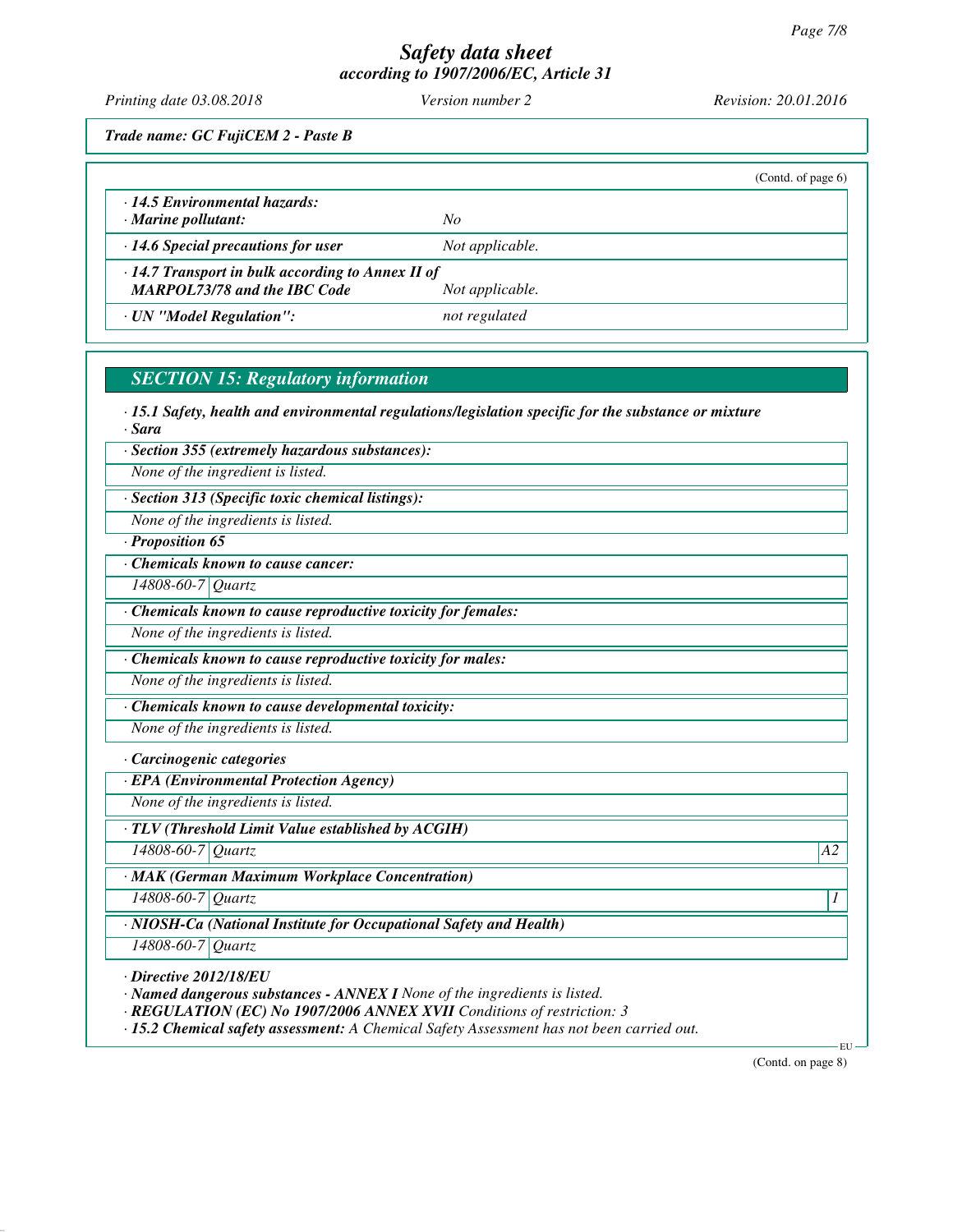*Printing date 03.08.2018 Version number 2 Revision: 20.01.2016*

*Trade name: GC FujiCEM 2 - Paste B*

|                                                         |                 | (Contd. of page $6$ ) |
|---------------------------------------------------------|-----------------|-----------------------|
| 14.5 Environmental hazards:                             |                 |                       |
| $\cdot$ Marine pollutant:                               | No              |                       |
| $\cdot$ 14.6 Special precautions for user               | Not applicable. |                       |
| $\cdot$ 14.7 Transport in bulk according to Annex II of |                 |                       |
| <b>MARPOL73/78 and the IBC Code</b>                     | Not applicable. |                       |
| · UN "Model Regulation":                                | not regulated   |                       |
|                                                         |                 |                       |

## *SECTION 15: Regulatory information*

*· 15.1 Safety, health and environmental regulations/legislation specific for the substance or mixture · Sara*

*· Section 355 (extremely hazardous substances):*

*None of the ingredient is listed.*

*· Section 313 (Specific toxic chemical listings):*

*None of the ingredients is listed.*

*· Proposition 65*

*· Chemicals known to cause cancer:*

*14808-60-7 Quartz*

*· Chemicals known to cause reproductive toxicity for females:*

*None of the ingredients is listed.*

*· Chemicals known to cause reproductive toxicity for males:*

*None of the ingredients is listed.*

*· Chemicals known to cause developmental toxicity:*

*None of the ingredients is listed.*

*· Carcinogenic categories*

*· EPA (Environmental Protection Agency)*

*None of the ingredients is listed.*

*· TLV (Threshold Limit Value established by ACGIH)*

*14808-60-7 Quartz A2*

*· MAK (German Maximum Workplace Concentration)*

*14808-60-7 Quartz 1* 

*· NIOSH-Ca (National Institute for Occupational Safety and Health)*

*14808-60-7 Quartz*

*· Directive 2012/18/EU*

*· Named dangerous substances - ANNEX I None of the ingredients is listed.*

*· REGULATION (EC) No 1907/2006 ANNEX XVII Conditions of restriction: 3*

*· 15.2 Chemical safety assessment: A Chemical Safety Assessment has not been carried out.*

(Contd. on page 8)

EU